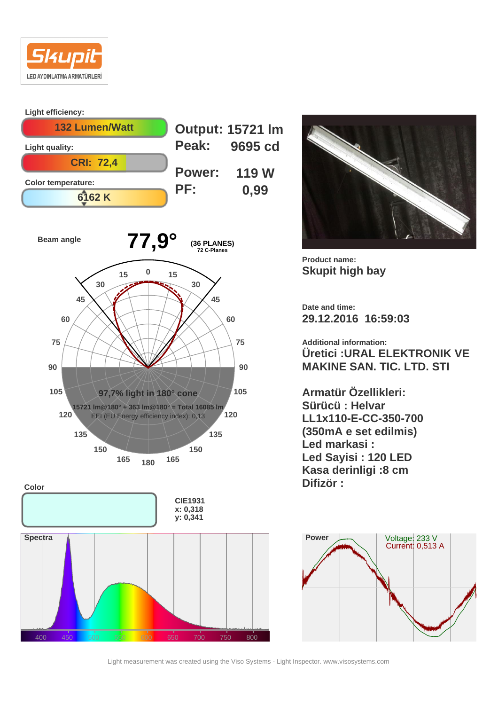

# **Light efficiency:**









**Product name: Skupit high bay**

**Date and time: 29.12.2016 16:59:03**

**Additional information: Üretici :URAL ELEKTRONIK VE MAKINE SAN. TIC. LTD. STI**

**Armatür Özellikleri: Sürücü : Helvar LL1x110-E-CC-350-700 (350mA <sup>e</sup> set edilmis) Led markasi : Led Sayisi : 120 LED Kasa derinligi :8 cm Difizör :**



Light measurement was created using the Viso Systems - Light Inspector. www.visosystems.com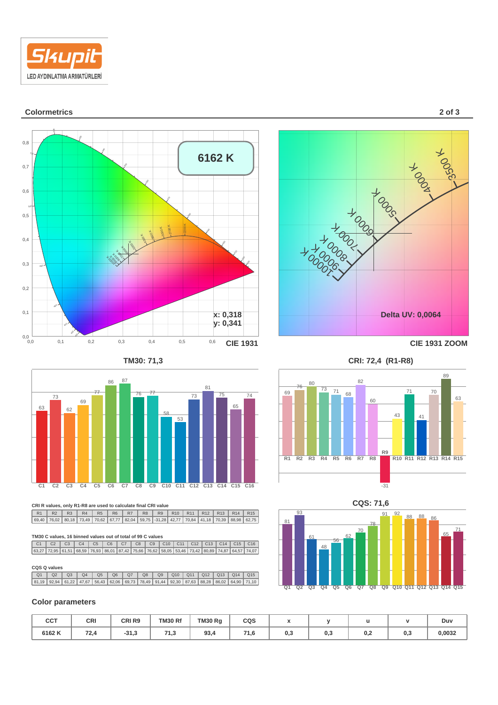

## **Colormetrics 2 of 3**





**CRI R values, only R1-R8 are used to calculate final CRI value**

 $\frac{1}{6}$ R1 | R2 | R3 | R4 | R5 | R6 | R7 | R8 | R9 | R10 | R11 | R12 | R13 | R14 | R15 69,40 | 76,02 | 80,18 | 73,49 | 70,62 | 67,77 | 82,04 | 59,75 | -31,28 | 42,77 | 70,84 | 41,18 | 70,39 | 88,98 | 62,75

#### **TM30 C values, 16 binned values out of total of 99 C values**

1.<br>01 Cription Carlies, 16 binned values out of total of 99 C values<br>C1 C2 C3 C4 C4 C5 C6 C7 C8 C9 C1 C1 C1 C1 C1 C12 C13 C14 C15 C16 63,27 | 72,95 | 61,51 | 68,59 | 76,93 | 86,01 | 87,42 | 75,66 | 76,62 | 58,05 | 53,46 | 73,42 | 80,89 | 74,87 | 64,57 | 74,07

#### **CQS Q values**

| Q1   Q2   Q3   Q4   Q5   Q6   Q7   Q8   Q9   Q10   Q11   Q12   Q13   Q14   Q15            |  |  |  |  |  |  |  |
|-------------------------------------------------------------------------------------------|--|--|--|--|--|--|--|
| 81,19 92,94 61,22 47,67 56,43 62,06 69,73 78,49 91,44 92,30 87,63 88,28 86,02 64,90 71,10 |  |  |  |  |  |  |  |
|                                                                                           |  |  |  |  |  |  |  |

### **Color parameters**

| CCT   | CRI                     | CRI <sub>R9</sub> | TM30 Rf<br>. | TM30 Rg    | CQS         | $\overline{\phantom{a}}$<br> |     |     |     | Duv    |
|-------|-------------------------|-------------------|--------------|------------|-------------|------------------------------|-----|-----|-----|--------|
| 6162K | $\overline{z}$<br>1 Z.4 | 24<br>-31.3       | 74<br>.      | Q2<br>っつっそ | 74C<br>۰. ۱ | 0,3                          | 0.3 | 0,2 | 0,3 | 0,0032 |

**Q1**

**Q2**

**Q3**



**CIE 1931 CIE 1931 ZOOM**

**TM30: 71,3 CRI: 72,4 (R1-R8)**